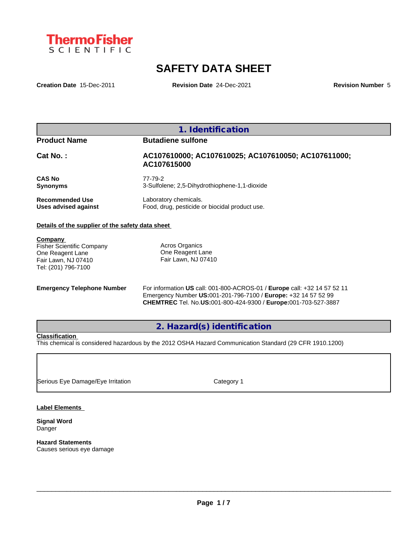

# **SAFETY DATA SHEET**

**Creation Date** 15-Dec-2011 **Revision Date** 24-Dec-2021 **Revision Number** 5

| <b>Product Name</b>    | <b>Butadiene sulfone</b>                                           |
|------------------------|--------------------------------------------------------------------|
| $Cat No.$ :            | AC107610000; AC107610025; AC107610050; AC107611000;<br>AC107615000 |
| <b>CAS No</b>          | 77-79-2                                                            |
| <b>Synonyms</b>        | 3-Sulfolene; 2,5-Dihydrothiophene-1,1-dioxide                      |
| <b>Recommended Use</b> | Laboratory chemicals.                                              |
| Uses advised against   | Food, drug, pesticide or biocidal product use.                     |

## **Company**  Fisher Scientific Company One Reagent Lane Fair Lawn, NJ 07410 Tel: (201) 796-7100

Acros Organics One Reagent Lane Fair Lawn, NJ 07410

**Emergency Telephone Number** For information **US** call: 001-800-ACROS-01 / **Europe** call: +32 14 57 52 11 Emergency Number **US:**001-201-796-7100 / **Europe:** +32 14 57 52 99 **CHEMTREC** Tel. No.**US:**001-800-424-9300 / **Europe:**001-703-527-3887

**2. Hazard(s) identification**

# **Classification**

This chemical is considered hazardous by the 2012 OSHA Hazard Communication Standard (29 CFR 1910.1200)

Serious Eye Damage/Eye Irritation Category 1

**Label Elements**

**Signal Word** Danger

**Hazard Statements** Causes serious eye damage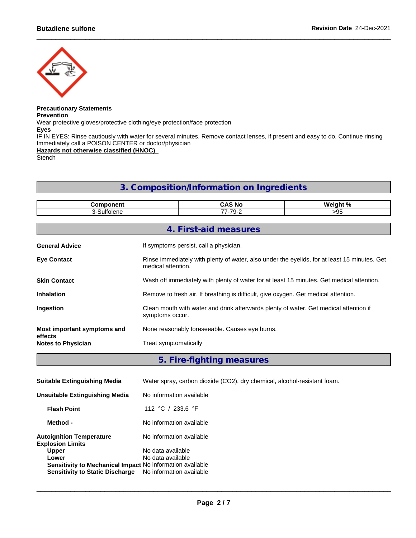

#### **Precautionary Statements Prevention**

Wear protective gloves/protective clothing/eye protection/face protection

**Eyes**

IF IN EYES: Rinse cautiously with water for several minutes. Remove contact lenses, if present and easy to do. Continue rinsing Immediately call a POISON CENTER or doctor/physician

**Hazards not otherwise classified (HNOC)**

Stench

# **3. Composition/Information on Ingredients**

| <b>Component</b>                     | <b>CAS No</b><br>Weight %                                                                                          |                                                                                           |  |  |  |  |  |  |
|--------------------------------------|--------------------------------------------------------------------------------------------------------------------|-------------------------------------------------------------------------------------------|--|--|--|--|--|--|
| 3-Sulfolene                          | 77-79-2<br>>95                                                                                                     |                                                                                           |  |  |  |  |  |  |
|                                      |                                                                                                                    |                                                                                           |  |  |  |  |  |  |
|                                      |                                                                                                                    | 4. First-aid measures                                                                     |  |  |  |  |  |  |
| <b>General Advice</b>                | If symptoms persist, call a physician.                                                                             |                                                                                           |  |  |  |  |  |  |
| <b>Eye Contact</b>                   | Rinse immediately with plenty of water, also under the eyelids, for at least 15 minutes. Get<br>medical attention. |                                                                                           |  |  |  |  |  |  |
| <b>Skin Contact</b>                  |                                                                                                                    | Wash off immediately with plenty of water for at least 15 minutes. Get medical attention. |  |  |  |  |  |  |
| <b>Inhalation</b>                    |                                                                                                                    | Remove to fresh air. If breathing is difficult, give oxygen. Get medical attention.       |  |  |  |  |  |  |
| Ingestion                            | Clean mouth with water and drink afterwards plenty of water. Get medical attention if<br>symptoms occur.           |                                                                                           |  |  |  |  |  |  |
| Most important symptoms and          |                                                                                                                    | None reasonably foreseeable. Causes eye burns.                                            |  |  |  |  |  |  |
| effects<br><b>Notes to Physician</b> | Treat symptomatically                                                                                              |                                                                                           |  |  |  |  |  |  |
|                                      |                                                                                                                    |                                                                                           |  |  |  |  |  |  |

**5. Fire-fighting measures**

| <b>Suitable Extinguishing Media</b>                                                                                 | Water spray, carbon dioxide (CO2), dry chemical, alcohol-resistant foam. |
|---------------------------------------------------------------------------------------------------------------------|--------------------------------------------------------------------------|
| Unsuitable Extinguishing Media                                                                                      | No information available                                                 |
| <b>Flash Point</b>                                                                                                  | 112 °C / 233.6 °F                                                        |
| Method -                                                                                                            | No information available                                                 |
| <b>Autoignition Temperature</b><br><b>Explosion Limits</b>                                                          | No information available                                                 |
| <b>Upper</b>                                                                                                        | No data available                                                        |
| Lower<br><b>Sensitivity to Mechanical Impact No information available</b><br><b>Sensitivity to Static Discharge</b> | No data available<br>No information available                            |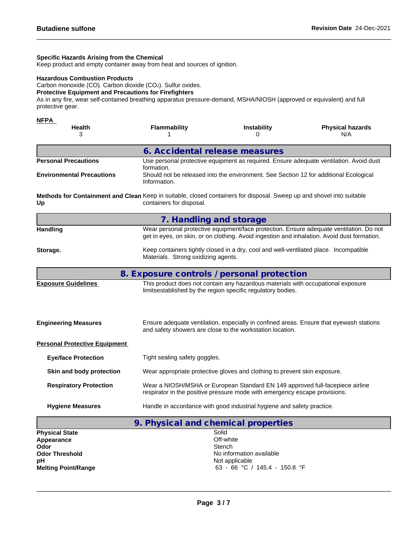# **Specific Hazards Arising from the Chemical**

Keep product and empty container away from heat and sources of ignition.

# **Hazardous Combustion Products**

Carbon monoxide (CO). Carbon dioxide (CO2). Sulfur oxides.

# **Protective Equipment and Precautions for Firefighters**

As in any fire, wear self-contained breathing apparatus pressure-demand, MSHA/NIOSH (approved or equivalent) and full protective gear.

| <b>NFPA</b>                                                                                                                 |                                                                                                                     |                                                                                                                                                             |                                                                                                                                                                                        |  |  |  |  |  |  |  |
|-----------------------------------------------------------------------------------------------------------------------------|---------------------------------------------------------------------------------------------------------------------|-------------------------------------------------------------------------------------------------------------------------------------------------------------|----------------------------------------------------------------------------------------------------------------------------------------------------------------------------------------|--|--|--|--|--|--|--|
| Health<br>3                                                                                                                 | <b>Flammability</b>                                                                                                 | <b>Instability</b><br>0                                                                                                                                     | <b>Physical hazards</b><br>N/A                                                                                                                                                         |  |  |  |  |  |  |  |
|                                                                                                                             | 6. Accidental release measures                                                                                      |                                                                                                                                                             |                                                                                                                                                                                        |  |  |  |  |  |  |  |
| <b>Personal Precautions</b>                                                                                                 |                                                                                                                     |                                                                                                                                                             | Use personal protective equipment as required. Ensure adequate ventilation. Avoid dust                                                                                                 |  |  |  |  |  |  |  |
| <b>Environmental Precautions</b>                                                                                            | formation.<br>Should not be released into the environment. See Section 12 for additional Ecological<br>Information. |                                                                                                                                                             |                                                                                                                                                                                        |  |  |  |  |  |  |  |
| Methods for Containment and Clean Keep in suitable, closed containers for disposal. Sweep up and shovel into suitable<br>Up | containers for disposal.                                                                                            |                                                                                                                                                             |                                                                                                                                                                                        |  |  |  |  |  |  |  |
|                                                                                                                             | 7. Handling and storage                                                                                             |                                                                                                                                                             |                                                                                                                                                                                        |  |  |  |  |  |  |  |
| <b>Handling</b>                                                                                                             |                                                                                                                     |                                                                                                                                                             | Wear personal protective equipment/face protection. Ensure adequate ventilation. Do not<br>get in eyes, on skin, or on clothing. Avoid ingestion and inhalation. Avoid dust formation. |  |  |  |  |  |  |  |
| Storage.                                                                                                                    | Materials. Strong oxidizing agents.                                                                                 | Keep containers tightly closed in a dry, cool and well-ventilated place. Incompatible                                                                       |                                                                                                                                                                                        |  |  |  |  |  |  |  |
|                                                                                                                             | 8. Exposure controls / personal protection                                                                          |                                                                                                                                                             |                                                                                                                                                                                        |  |  |  |  |  |  |  |
| <b>Exposure Guidelines</b>                                                                                                  |                                                                                                                     | This product does not contain any hazardous materials with occupational exposure<br>limitsestablished by the region specific regulatory bodies.             |                                                                                                                                                                                        |  |  |  |  |  |  |  |
| <b>Engineering Measures</b>                                                                                                 |                                                                                                                     | and safety showers are close to the workstation location.                                                                                                   | Ensure adequate ventilation, especially in confined areas. Ensure that eyewash stations                                                                                                |  |  |  |  |  |  |  |
| <b>Personal Protective Equipment</b>                                                                                        |                                                                                                                     |                                                                                                                                                             |                                                                                                                                                                                        |  |  |  |  |  |  |  |
| <b>Eye/face Protection</b>                                                                                                  | Tight sealing safety goggles.                                                                                       |                                                                                                                                                             |                                                                                                                                                                                        |  |  |  |  |  |  |  |
| Skin and body protection                                                                                                    |                                                                                                                     | Wear appropriate protective gloves and clothing to prevent skin exposure.                                                                                   |                                                                                                                                                                                        |  |  |  |  |  |  |  |
| <b>Respiratory Protection</b>                                                                                               |                                                                                                                     | Wear a NIOSH/MSHA or European Standard EN 149 approved full-facepiece airline<br>respirator in the positive pressure mode with emergency escape provisions. |                                                                                                                                                                                        |  |  |  |  |  |  |  |
| <b>Hygiene Measures</b>                                                                                                     |                                                                                                                     | Handle in accordance with good industrial hygiene and safety practice.                                                                                      |                                                                                                                                                                                        |  |  |  |  |  |  |  |
|                                                                                                                             | 9. Physical and chemical properties                                                                                 |                                                                                                                                                             |                                                                                                                                                                                        |  |  |  |  |  |  |  |
| <b>Physical State</b>                                                                                                       |                                                                                                                     | Solid                                                                                                                                                       |                                                                                                                                                                                        |  |  |  |  |  |  |  |
| Appearance<br>Odor                                                                                                          |                                                                                                                     | Off-white<br>Stench                                                                                                                                         |                                                                                                                                                                                        |  |  |  |  |  |  |  |
| <b>Odor Threshold</b>                                                                                                       |                                                                                                                     | No information available                                                                                                                                    |                                                                                                                                                                                        |  |  |  |  |  |  |  |
| рH                                                                                                                          |                                                                                                                     | Not applicable                                                                                                                                              |                                                                                                                                                                                        |  |  |  |  |  |  |  |
| <b>Melting Point/Range</b>                                                                                                  |                                                                                                                     | 63 - 66 °C / 145.4 - 150.8 °F                                                                                                                               |                                                                                                                                                                                        |  |  |  |  |  |  |  |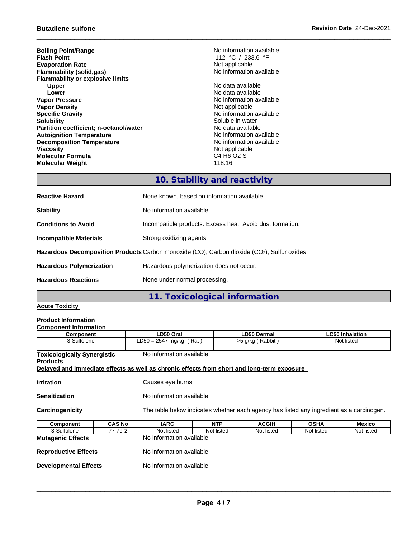**Boiling Point/Range No information available**<br> **Flash Point Point Point Point Point Point Point Point Point Point Point Point Point Point Point Point Point Point Point Point Point Evaporation Rate**<br> **Example 2018**<br> **Elammability (solid,gas)**<br> **Example 2018** No information available **Flammability** (solid,gas) **Flammability or explosive limits Upper** No data available **Lower Lower Lower CONSISTENT ACCORDING ALL CONSISTENT ACCORDING ALL CONSISTENCE ACCORDING AVAILABLE VALUE OF A CONSISTENT AND INCOMENT ACCORDING A CONSISTENT ACCORDING A CONSISTENT ACCORDING A CONSISTENT AND A CONSI Vapor Density Not applicable**<br> **Specific Gravity Notify Note applicable**<br> **Note applicable Specific Gravity**<br> **Solubility**<br>
Soluble in water<br>
Soluble in water **Partition coefficient; n-octanol/water** No data available<br> **Autoignition Temperature**<br> **Autoignition Temperature Autoignition Temperature**<br> **Decomposition Temperature** Temperature **No information available**<br>
No information available **Decomposition Temperature**<br>Viscosity **Molecular Formula Molecular Weight** 118.16

**Fig. 7 - 112 °C** / 233.6 °F<br>Not applicable

**No information available** Soluble in water<br>No data available Not applicable<br>C4 H6 O2 S

# **10. Stability and reactivity**

| <b>Reactive Hazard</b>          | None known, based on information available                                                 |
|---------------------------------|--------------------------------------------------------------------------------------------|
| <b>Stability</b>                | No information available.                                                                  |
| <b>Conditions to Avoid</b>      | Incompatible products. Excess heat. Avoid dust formation.                                  |
| <b>Incompatible Materials</b>   | Strong oxidizing agents                                                                    |
|                                 | Hazardous Decomposition Products Carbon monoxide (CO), Carbon dioxide (CO2), Sulfur oxides |
| <b>Hazardous Polymerization</b> | Hazardous polymerization does not occur.                                                   |
| <b>Hazardous Reactions</b>      | None under normal processing.                                                              |
|                                 |                                                                                            |

# **11. Toxicological information**

# **Acute Toxicity**

# **Product Information**

| <b>Component Information</b>                          |               |                                                                                                                        |            |                  |             |                        |
|-------------------------------------------------------|---------------|------------------------------------------------------------------------------------------------------------------------|------------|------------------|-------------|------------------------|
| Component                                             |               | LD50 Oral                                                                                                              |            | LD50 Dermal      |             | <b>LC50 Inhalation</b> |
| 3-Sulfolene                                           |               | $LD50 = 2547$ mg/kg (Rat)                                                                                              |            | >5 g/kg (Rabbit) |             | Not listed             |
| <b>Toxicologically Synergistic</b><br><b>Products</b> |               | No information available<br>Delayed and immediate effects as well as chronic effects from short and long-term exposure |            |                  |             |                        |
| <b>Irritation</b>                                     |               | Causes eye burns                                                                                                       |            |                  |             |                        |
| <b>Sensitization</b>                                  |               | No information available                                                                                               |            |                  |             |                        |
| Carcinogenicity                                       |               | The table below indicates whether each agency has listed any ingredient as a carcinogen.                               |            |                  |             |                        |
| Component                                             | <b>CAS No</b> | <b>IARC</b>                                                                                                            | <b>NTP</b> | <b>ACGIH</b>     | <b>OSHA</b> | Mexico                 |
| 3-Sulfolene                                           | 77-79-2       | Not listed                                                                                                             | Not listed | Not listed       | Not listed  | Not listed             |
| <b>Mutagenic Effects</b>                              |               | No information available                                                                                               |            |                  |             |                        |
| <b>Reproductive Effects</b>                           |               | No information available.                                                                                              |            |                  |             |                        |

**Developmental Effects** No information available.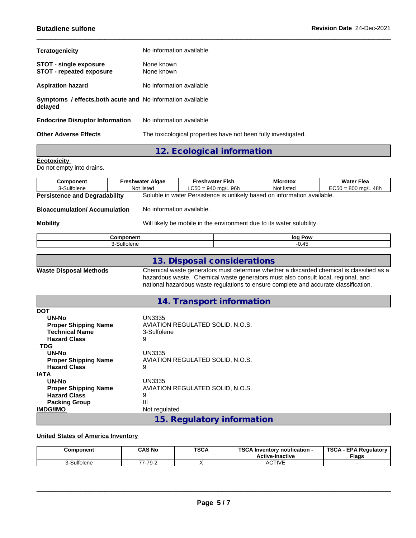| <b>Teratogenicity</b>                                                         | No information available.                                      |
|-------------------------------------------------------------------------------|----------------------------------------------------------------|
| <b>STOT - single exposure</b><br><b>STOT - repeated exposure</b>              | None known<br>None known                                       |
| <b>Aspiration hazard</b>                                                      | No information available                                       |
| <b>Symptoms / effects, both acute and No information available</b><br>delayed |                                                                |
| <b>Endocrine Disruptor Information</b>                                        | No information available                                       |
| <b>Other Adverse Effects</b>                                                  | The toxicological properties have not been fully investigated. |

# **12. Ecological information**

# **Ecotoxicity**

**TDG** 

**IATA**<br>UN-No

**Packing Group**<br>**IMDG/IMO** 

Do not empty into drains.

| <b>Component</b>                                                                                          | <b>Freshwater Algae</b>                                               | <b>Freshwater Fish</b>                                                                                                                                                                                   | <b>Microtox</b> | <b>Water Flea</b>                                                                        |  |  |  |  |
|-----------------------------------------------------------------------------------------------------------|-----------------------------------------------------------------------|----------------------------------------------------------------------------------------------------------------------------------------------------------------------------------------------------------|-----------------|------------------------------------------------------------------------------------------|--|--|--|--|
| 3-Sulfolene                                                                                               | Not listed                                                            | $LC50 = 940$ mg/L 96h                                                                                                                                                                                    | Not listed      | $EC50 = 800$ mg/L 48h                                                                    |  |  |  |  |
| <b>Persistence and Degradability</b>                                                                      |                                                                       | Soluble in water Persistence is unlikely based on information available.                                                                                                                                 |                 |                                                                                          |  |  |  |  |
| <b>Bioaccumulation/Accumulation</b>                                                                       | No information available.                                             |                                                                                                                                                                                                          |                 |                                                                                          |  |  |  |  |
| <b>Mobility</b>                                                                                           | Will likely be mobile in the environment due to its water solubility. |                                                                                                                                                                                                          |                 |                                                                                          |  |  |  |  |
|                                                                                                           | Component                                                             |                                                                                                                                                                                                          | log Pow         |                                                                                          |  |  |  |  |
|                                                                                                           | 3-Sulfolene                                                           |                                                                                                                                                                                                          | $-0.45$         |                                                                                          |  |  |  |  |
| <b>Waste Disposal Methods</b>                                                                             |                                                                       | 13. Disposal considerations<br>hazardous waste. Chemical waste generators must also consult local, regional, and<br>national hazardous waste regulations to ensure complete and accurate classification. |                 | Chemical waste generators must determine whether a discarded chemical is classified as a |  |  |  |  |
|                                                                                                           |                                                                       | 14. Transport information                                                                                                                                                                                |                 |                                                                                          |  |  |  |  |
| <b>DOT</b><br><b>UN-No</b><br><b>Proper Shipping Name</b><br><b>Technical Name</b><br><b>Hazard Class</b> | UN3335<br>3-Sulfolene<br>9                                            | AVIATION REGULATED SOLID, N.O.S.                                                                                                                                                                         |                 |                                                                                          |  |  |  |  |

## **United States of America Inventory**

**UN-No** UN3335<br> **Proper Shipping Name** AVIATIO

**UN-No** UN3335<br> **Proper Shipping Name** AVIATIO

**Hazard Class** 9

**Hazard Class** 9<br>**Packing Group** 11

| Component    | <b>CAS No</b> | <b>TSCA</b> | $T^{\alpha}$<br>Inventory notification -<br>ou.<br><b>Active-Inactive</b> | <b>TSCA</b><br>- EPA Reaulatory<br><b>Flags</b> |
|--------------|---------------|-------------|---------------------------------------------------------------------------|-------------------------------------------------|
| sulfoleneب J | -79-2<br>--   |             | <b>CTIVE</b><br>AUIIVL                                                    |                                                 |

**15. Regulatory information**

**Proper Shipping Name** AVIATION REGULATED SOLID, N.O.S.

**Proper Shipping Name** AVIATION REGULATED SOLID, N.O.S.

**Not regulated**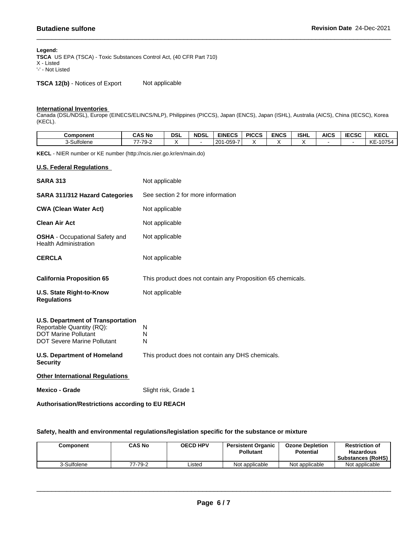#### **Legend:**

**TSCA** US EPA (TSCA) - Toxic Substances Control Act, (40 CFR Part 710) X - Listed '-' - Not Listed

**TSCA 12(b)** - Notices of Export Not applicable

#### **International Inventories**

Canada (DSL/NDSL), Europe (EINECS/ELINCS/NLP), Philippines (PICCS), Japan (ENCS), Japan (ISHL), Australia (AICS), China (IECSC), Korea (KECL).

| <b>Component</b> | CAS No                                    | <b>DSL</b> | <b>NDSL</b> | <b>EINECS</b>                             | <b>PICCS</b> | <b>ENCS</b> | <b>ISHL</b> | AICS | <b>IECSC</b> | <b>KECL</b>  |
|------------------|-------------------------------------------|------------|-------------|-------------------------------------------|--------------|-------------|-------------|------|--------------|--------------|
| 3-Sulfolene      | 7.7Q.'<br>$\rightarrow$<br>ັບ<br><u>_</u> |            |             | -050-7<br>l 20 <sup>-</sup><br>. .<br>ບບວ |              |             |             |      |              | -10754<br>KE |

**KECL** - NIER number or KE number (http://ncis.nier.go.kr/en/main.do)

## **U.S. Federal Regulations**

| <b>SARA 313</b>                                                                                                                            | Not applicable                                              |
|--------------------------------------------------------------------------------------------------------------------------------------------|-------------------------------------------------------------|
| <b>SARA 311/312 Hazard Categories</b>                                                                                                      | See section 2 for more information                          |
| <b>CWA (Clean Water Act)</b>                                                                                                               | Not applicable                                              |
| <b>Clean Air Act</b>                                                                                                                       | Not applicable                                              |
| <b>OSHA</b> - Occupational Safety and<br><b>Health Administration</b>                                                                      | Not applicable                                              |
| <b>CERCLA</b>                                                                                                                              | Not applicable                                              |
| <b>California Proposition 65</b>                                                                                                           | This product does not contain any Proposition 65 chemicals. |
| U.S. State Right-to-Know<br><b>Regulations</b>                                                                                             | Not applicable                                              |
| <b>U.S. Department of Transportation</b><br>Reportable Quantity (RQ):<br><b>DOT Marine Pollutant</b><br><b>DOT Severe Marine Pollutant</b> | N<br>N<br>N                                                 |
| <b>U.S. Department of Homeland</b><br><b>Security</b>                                                                                      | This product does not contain any DHS chemicals.            |
| <b>Other International Regulations</b>                                                                                                     |                                                             |
| <b>Mexico - Grade</b>                                                                                                                      | Slight risk, Grade 1                                        |

**Authorisation/Restrictions according to EU REACH**

## **Safety, health and environmental regulations/legislation specific for the substance or mixture**

| Component   | CAS No  | <b>OECD HPV</b> | <b>Persistent Organic</b><br><b>Pollutant</b> | <b>Ozone Depletion</b><br><b>Potential</b> | <b>Restriction of</b><br><b>Hazardous</b><br><b>Substances (RoHS)</b> |
|-------------|---------|-----------------|-----------------------------------------------|--------------------------------------------|-----------------------------------------------------------------------|
| 3-Sulfolene | 77-79-2 | Listed          | Not applicable                                | Not applicable                             | Not applicable                                                        |